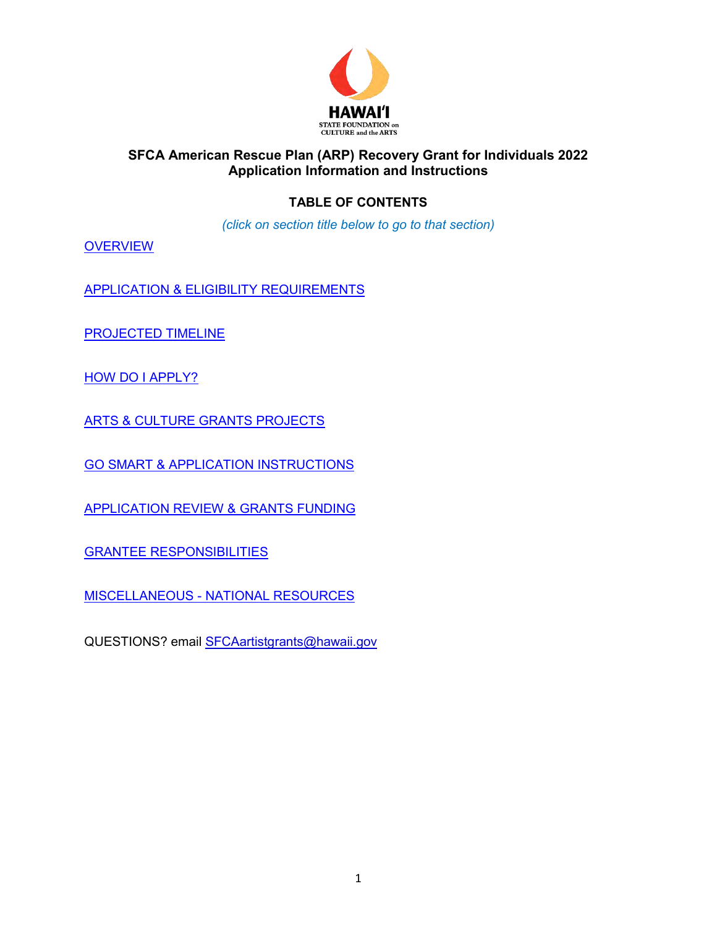

# **TABLE OF CONTENTS**

*(click on section title below to go to that section)* 

**[OVERVIEW](#page-1-0)** 

[APPLICATION & ELIGIBILITY REQUIREMENTS](#page-1-1)

[PROJECTED TIMELINE](#page-2-0)

[HOW DO I APPLY?](#page-3-0)

[ARTS & CULTURE GRANTS PROJECTS](#page-3-1)

[GO SMART & APPLICATION INSTRUCTIONS](#page-4-0)

[APPLICATION REVIEW & GRANTS FUNDING](#page-16-0)

[GRANTEE RESPONSIBILITIES](#page-17-0)

[MISCELLANEOUS - NATIONAL RESOURCES](#page-18-0)

QUESTIONS? email [SFCAartistgrants@hawaii.gov](mailto:SFCAartistgrants@hawaii.gov)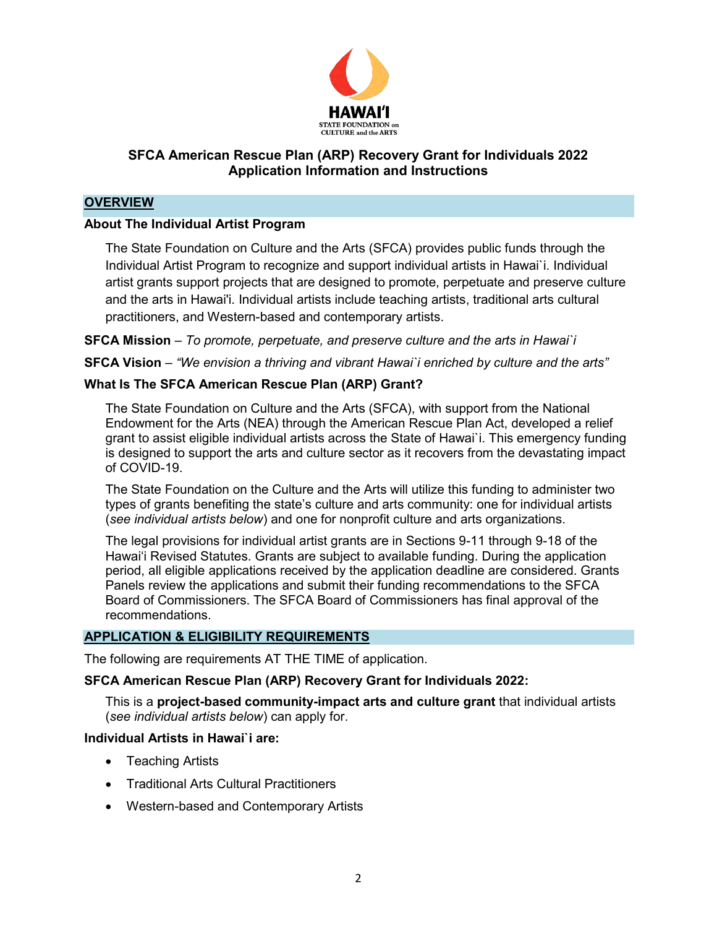

## <span id="page-1-0"></span>**OVERVIEW**

## **About The Individual Artist Program**

The State Foundation on Culture and the Arts (SFCA) provides public funds through the Individual Artist Program to recognize and support individual artists in Hawai`i. Individual artist grants support projects that are designed to promote, perpetuate and preserve culture and the arts in Hawai'i. Individual artists include teaching artists, traditional arts cultural practitioners, and Western-based and contemporary artists.

**SFCA Mission** – *To promote, perpetuate, and preserve culture and the arts in Hawai`i* 

**SFCA Vision** – *"We envision a thriving and vibrant Hawai`i enriched by culture and the arts"* 

## **What Is The SFCA American Rescue Plan (ARP) Grant?**

The State Foundation on Culture and the Arts (SFCA), with support from the National Endowment for the Arts (NEA) through the American Rescue Plan Act, developed a relief grant to assist eligible individual artists across the State of Hawai`i. This emergency funding is designed to support the arts and culture sector as it recovers from the devastating impact of COVID-19.

The State Foundation on the Culture and the Arts will utilize this funding to administer two types of grants benefiting the state's culture and arts community: one for individual artists (*see individual artists below*) and one for nonprofit culture and arts organizations.

The legal provisions for individual artist grants are in Sections 9-11 through 9-18 of the Hawai'i Revised Statutes. Grants are subject to available funding. During the application period, all eligible applications received by the application deadline are considered. Grants Panels review the applications and submit their funding recommendations to the SFCA Board of Commissioners. The SFCA Board of Commissioners has final approval of the recommendations.

## <span id="page-1-1"></span>**APPLICATION & ELIGIBILITY REQUIREMENTS**

The following are requirements AT THE TIME of application.

#### **SFCA American Rescue Plan (ARP) Recovery Grant for Individuals 2022:**

This is a **project-based community-impact arts and culture grant** that individual artists (*see individual artists below*) can apply for.

#### **Individual Artists in Hawai`i are:**

- Teaching Artists
- Traditional Arts Cultural Practitioners
- Western-based and Contemporary Artists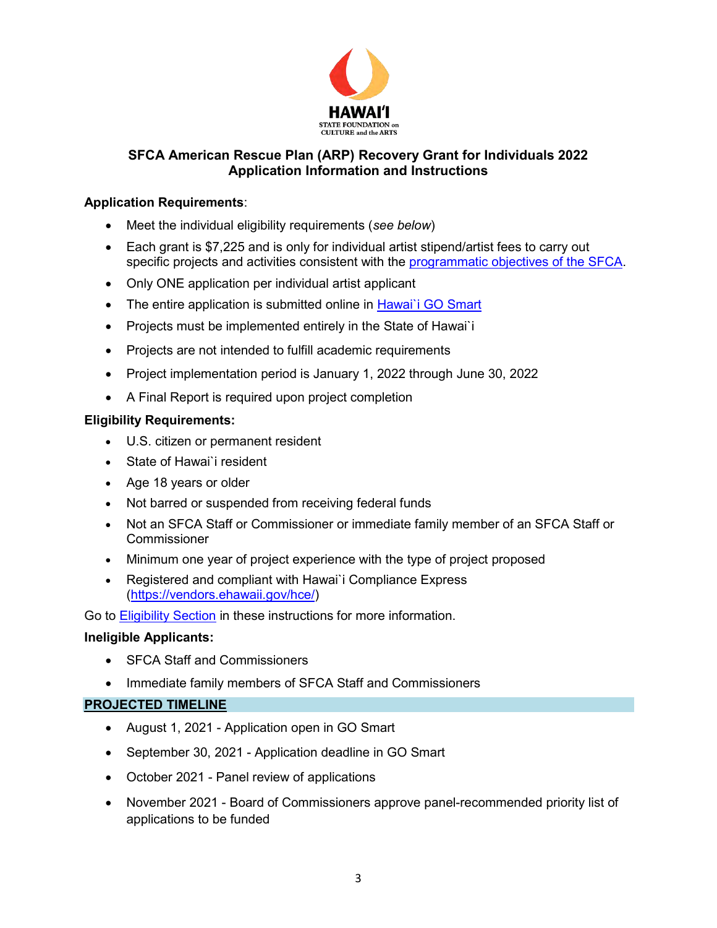

## **Application Requirements**:

- Meet the individual eligibility requirements (*see below*)
- Each grant is \$7,225 and is only for individual artist stipend/artist fees to carry out specific projects and activities consistent with the [programmatic objectives of the SFCA.](https://sfca.hawaii.gov/wp-content/uploads/2021/01/Biennium-Grants-Categories-2022-2023-rev01-20-2021.pdf)
- Only ONE application per individual artist applicant
- The entire application is submitted online in Hawai'i GO Smart
- Projects must be implemented entirely in the State of Hawai'i
- Projects are not intended to fulfill academic requirements
- Project implementation period is January 1, 2022 through June 30, 2022
- A Final Report is required upon project completion

## **Eligibility Requirements:**

- U.S. citizen or permanent resident
- State of Hawai`i resident
- Age 18 years or older
- Not barred or suspended from receiving federal funds
- Not an SFCA Staff or Commissioner or immediate family member of an SFCA Staff or Commissioner
- Minimum one year of project experience with the type of project proposed
- Registered and compliant with Hawai`i Compliance Express [\(https://vendors.ehawaii.gov/hce/\)](https://vendors.ehawaii.gov/hce/)

Go to **Eligibility Section** in these instructions for more information.

## **Ineligible Applicants:**

- **SFCA Staff and Commissioners**
- Immediate family members of SFCA Staff and Commissioners

#### <span id="page-2-0"></span>**PROJECTED TIMELINE**

- August 1, 2021 Application open in GO Smart
- September 30, 2021 Application deadline in GO Smart
- October 2021 Panel review of applications
- November 2021 Board of Commissioners approve panel-recommended priority list of applications to be funded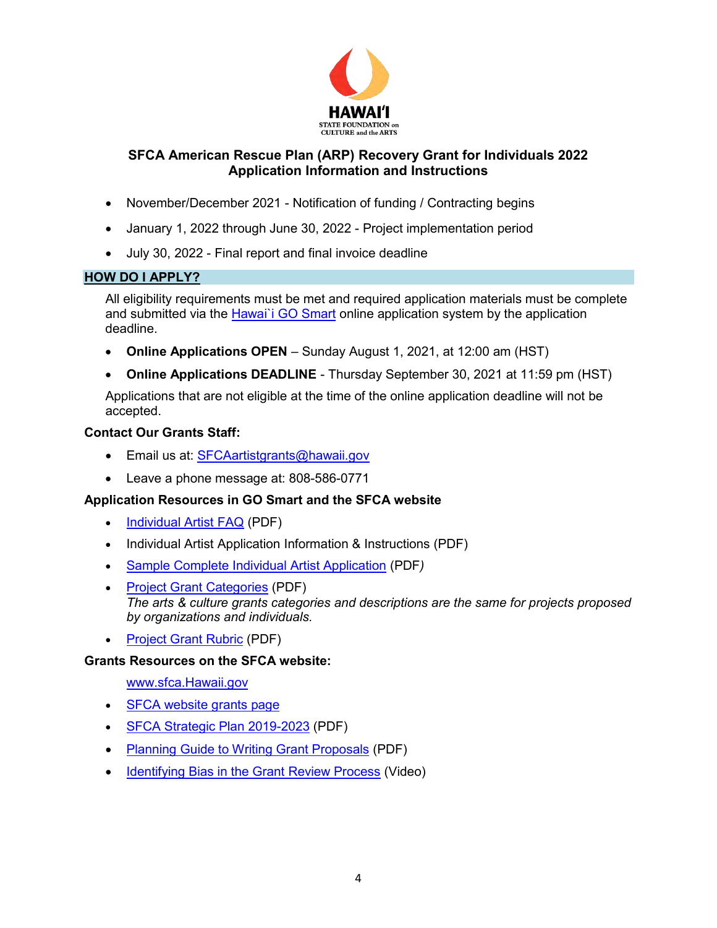

- November/December 2021 Notification of funding / Contracting begins
- January 1, 2022 through June 30, 2022 Project implementation period
- July 30, 2022 Final report and final invoice deadline

#### <span id="page-3-0"></span>**HOW DO I APPLY?**

All eligibility requirements must be met and required application materials must be complete and submitted via the Hawai'i GO Smart online application system by the application deadline.

- **Online Applications OPEN**  Sunday August 1, 2021, at 12:00 am (HST)
- **Online Applications DEADLINE** Thursday September 30, 2021 at 11:59 pm (HST)

Applications that are not eligible at the time of the online application deadline will not be accepted.

#### **Contact Our Grants Staff:**

- **Email us at: [SFCAartistgrants@hawaii.gov](mailto:SFCAartistgrants@hawaii.gov)**
- Leave a phone message at: 808-586-0771

## **Application Resources in GO Smart and the SFCA website**

- [Individual Artist FAQ](https://sfca.hawaii.gov/wp-content/uploads/2021/08/SFCA-ARP-Individual-Artist-2022-FAQ.pdf) (PDF)
- Individual Artist Application Information & Instructions (PDF)
- [Sample Complete Individual Artist Application](https://sfca.hawaii.gov/wp-content/uploads/2021/08/Sample-Complete-Individual-Artist-Application.pdf) (PDF*)*
- [Project Grant Categories](https://sfca.hawaii.gov/wp-content/uploads/2021/01/Biennium-Grants-Categories-2022-2023-rev01-20-2021.pdf) (PDF) *The arts & culture grants categories and descriptions are the same for projects proposed by organizations and individuals.*
- [Project Grant Rubric](https://sfca.hawaii.gov/wp-content/uploads/2021/08/Rubric_Project-Grant_Individual-Artist-ARP.pdf) (PDF)

#### **Grants Resources on the SFCA website:**

[www.sfca.Hawaii.gov](http://www.sfca.hawaii.gov/) 

- [SFCA website grants page](https://sfca.hawaii.gov/grants/)
- [SFCA Strategic Plan 2019-2023](https://sfca.hawaii.gov/wp-content/uploads/2018/06/SFCA-Strategic-Plan-2019-2023.pdf) (PDF)
- [Planning Guide to Writing Grant Proposals](https://sfca.hawaii.gov/wp-content/uploads/2020/10/Planning-Guide-to-Writing-Grant-Proposals-Presentation.pdf) (PDF)
- <span id="page-3-1"></span>• [Identifying Bias in the Grant Review Process](https://vimeo.com/514520192) (Video)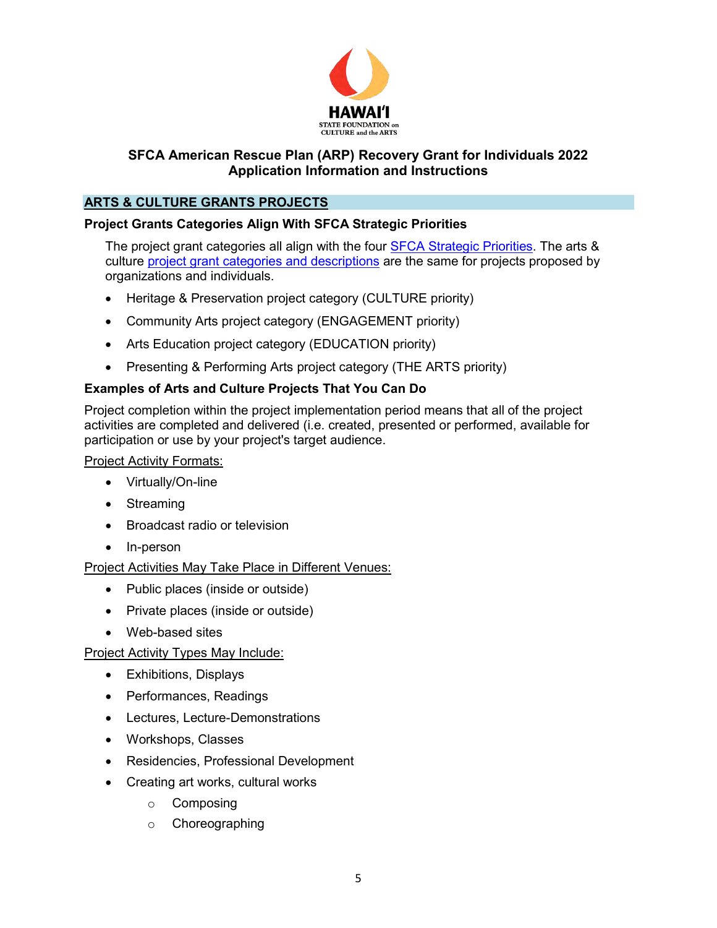

## **ARTS & CULTURE GRANTS PROJECTS**

## **Project Grants Categories Align With SFCA Strategic Priorities**

The project grant categories all align with the four [SFCA Strategic Priorities.](https://sfca.hawaii.gov/wp-content/uploads/2020/09/SFCA-Strategic-Plan-2019-2023.pdf) The arts & culture [project grant categories and descriptions](https://sfca.hawaii.gov/wp-content/uploads/2021/01/Biennium-Grants-Categories-2022-2023-rev01-20-2021.pdf) are the same for projects proposed by organizations and individuals.

- Heritage & Preservation project category (CULTURE priority)
- Community Arts project category (ENGAGEMENT priority)
- Arts Education project category (EDUCATION priority)
- Presenting & Performing Arts project category (THE ARTS priority)

# **Examples of Arts and Culture Projects That You Can Do**

<span id="page-4-0"></span>Project completion within the project implementation period means that all of the project activities are completed and delivered (i.e. created, presented or performed, available for participation or use by your project's target audience.

Project Activity Formats:

- Virtually/On-line
- Streaming
- Broadcast radio or television
- In-person

Project Activities May Take Place in Different Venues:

- Public places (inside or outside)
- Private places (inside or outside)
- Web-based sites

Project Activity Types May Include:

- Exhibitions, Displays
- Performances, Readings
- Lectures, Lecture-Demonstrations
- Workshops, Classes
- Residencies, Professional Development
- Creating art works, cultural works
	- o Composing
	- o Choreographing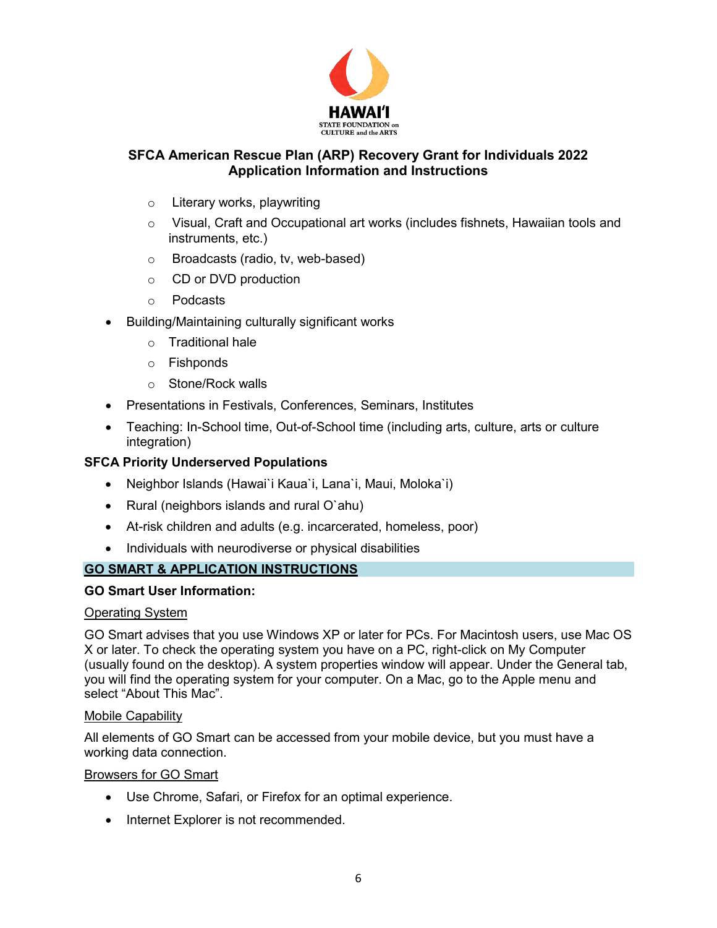

- o Literary works, playwriting
- $\circ$  Visual, Craft and Occupational art works (includes fishnets, Hawaiian tools and instruments, etc.)
- o Broadcasts (radio, tv, web-based)
- o CD or DVD production
- o Podcasts
- Building/Maintaining culturally significant works
	- o Traditional hale
	- o Fishponds
	- o Stone/Rock walls
- Presentations in Festivals, Conferences, Seminars, Institutes
- Teaching: In-School time, Out-of-School time (including arts, culture, arts or culture integration)

#### <span id="page-5-0"></span>**SFCA Priority Underserved Populations**

- Neighbor Islands (Hawai`i Kaua`i, Lana`i, Maui, Moloka`i)
- Rural (neighbors islands and rural O`ahu)
- At-risk children and adults (e.g. incarcerated, homeless, poor)
- Individuals with neurodiverse or physical disabilities

#### **GO SMART & APPLICATION INSTRUCTIONS**

#### **GO Smart User Information:**

#### Operating System

GO Smart advises that you use Windows XP or later for PCs. For Macintosh users, use Mac OS X or later. To check the operating system you have on a PC, right-click on My Computer (usually found on the desktop). A system properties window will appear. Under the General tab, you will find the operating system for your computer. On a Mac, go to the Apple menu and select "About This Mac".

#### Mobile Capability

All elements of GO Smart can be accessed from your mobile device, but you must have a working data connection.

Browsers for GO Smart

- Use Chrome, Safari, or Firefox for an optimal experience.
- Internet Explorer is not recommended.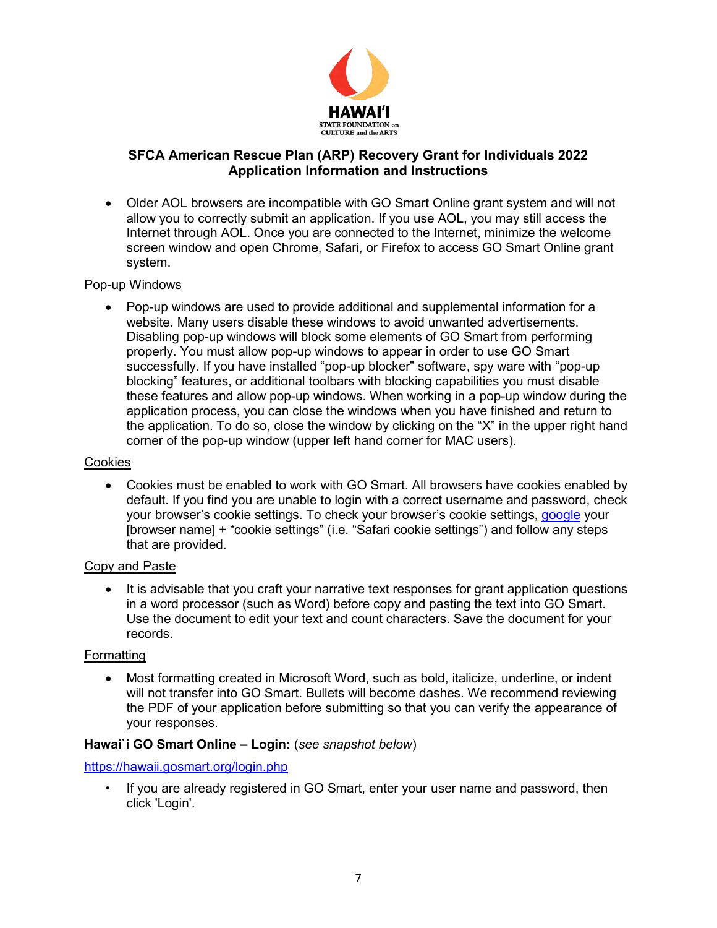

 Older AOL browsers are incompatible with GO Smart Online grant system and will not allow you to correctly submit an application. If you use AOL, you may still access the Internet through AOL. Once you are connected to the Internet, minimize the welcome screen window and open Chrome, Safari, or Firefox to access GO Smart Online grant system.

#### Pop-up Windows

 Pop-up windows are used to provide additional and supplemental information for a website. Many users disable these windows to avoid unwanted advertisements. Disabling pop-up windows will block some elements of GO Smart from performing properly. You must allow pop-up windows to appear in order to use GO Smart successfully. If you have installed "pop-up blocker" software, spy ware with "pop-up blocking" features, or additional toolbars with blocking capabilities you must disable these features and allow pop-up windows. When working in a pop-up window during the application process, you can close the windows when you have finished and return to the application. To do so, close the window by clicking on the "X" in the upper right hand corner of the pop-up window (upper left hand corner for MAC users).

#### Cookies

 Cookies must be enabled to work with GO Smart. All browsers have cookies enabled by default. If you find you are unable to login with a correct username and password, check your browser's cookie settings. To check your browser's cookie settings, [google](https://google.com/) your [browser name] + "cookie settings" (i.e. "Safari cookie settings") and follow any steps that are provided.

#### Copy and Paste

• It is advisable that you craft your narrative text responses for grant application questions in a word processor (such as Word) before copy and pasting the text into GO Smart. Use the document to edit your text and count characters. Save the document for your records.

#### **Formatting**

 Most formatting created in Microsoft Word, such as bold, italicize, underline, or indent will not transfer into GO Smart. Bullets will become dashes. We recommend reviewing the PDF of your application before submitting so that you can verify the appearance of your responses.

#### **Hawai`i GO Smart Online – Login:** (*see snapshot below*)

#### <https://hawaii.gosmart.org/login.php>

• If you are already registered in GO Smart, enter your user name and password, then click 'Login'.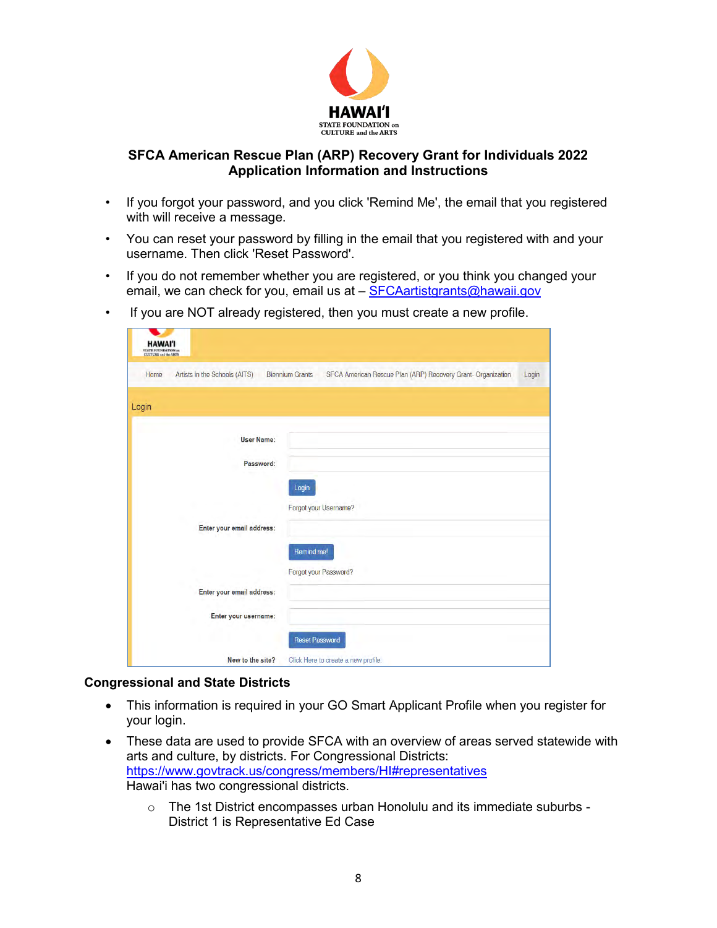

- If you forgot your password, and you click 'Remind Me', the email that you registered with will receive a message.
- You can reset your password by filling in the email that you registered with and your username. Then click 'Reset Password'.
- If you do not remember whether you are registered, or you think you changed your email, we can check for you, email us at – [SFCAartistgrants@hawaii.gov](mailto:SFCAartistgrants@hawaii.gov)
- If you are NOT already registered, then you must create a new profile.

| <b>HAWAI'I</b><br><b>STATE FOUNDATION and</b><br><b>CULTURE and the ARTS</b> |                               |                        |                                                              |       |
|------------------------------------------------------------------------------|-------------------------------|------------------------|--------------------------------------------------------------|-------|
| Home                                                                         | Artists in the Schools (AITS) | <b>Biennium Grants</b> | SFCA American Rescue Plan (ARP) Recovery Grant- Organization | Login |
| Login                                                                        |                               |                        |                                                              |       |
|                                                                              | <b>User Name:</b>             |                        |                                                              |       |
|                                                                              | Password:                     |                        |                                                              |       |
|                                                                              |                               | Login                  | Forgot your Username?                                        |       |
|                                                                              | Enter your email address:     |                        |                                                              |       |
|                                                                              |                               | Remind me!             |                                                              |       |
|                                                                              | Enter your email address:     |                        | Forgot your Password?                                        |       |
|                                                                              | Enter your username:          |                        |                                                              |       |
|                                                                              |                               | <b>Reset Password</b>  |                                                              |       |
|                                                                              | New to the site?              |                        | Click Here to create a new profile.                          |       |

#### **Congressional and State Districts**

- This information is required in your GO Smart Applicant Profile when you register for your login.
- These data are used to provide SFCA with an overview of areas served statewide with arts and culture, by districts. For Congressional Districts: <https://www.govtrack.us/congress/members/HI#representatives> Hawai'i has two congressional districts.
	- $\circ$  The 1st District encompasses urban Honolulu and its immediate suburbs -District 1 is Representative Ed Case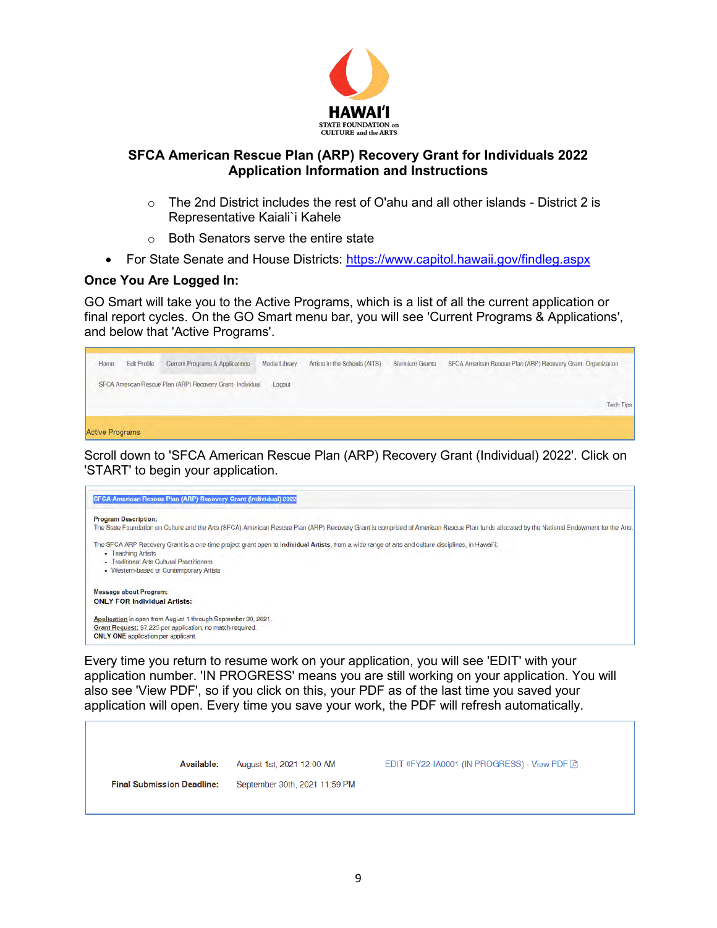

- $\circ$  The 2nd District includes the rest of O'ahu and all other islands District 2 is Representative Kaiali`i Kahele
- o Both Senators serve the entire state
- For State Senate and House Districts:<https://www.capitol.hawaii.gov/findleg.aspx>

#### **Once You Are Logged In:**

GO Smart will take you to the Active Programs, which is a list of all the current application or final report cycles. On the GO Smart menu bar, you will see 'Current Programs & Applications', and below that 'Active Programs'.



Scroll down to 'SFCA American Rescue Plan (ARP) Recovery Grant (Individual) 2022'. Click on 'START' to begin your application.



Every time you return to resume work on your application, you will see 'EDIT' with your application number. 'IN PROGRESS' means you are still working on your application. You will also see 'View PDF', so if you click on this, your PDF as of the last time you saved your application will open. Every time you save your work, the PDF will refresh automatically.

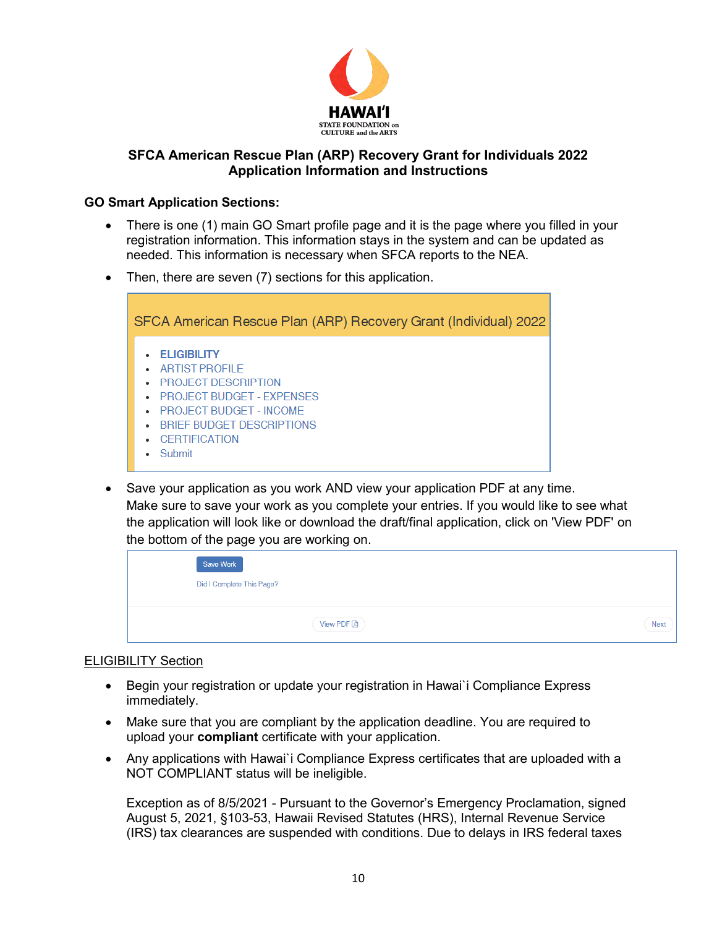

### **GO Smart Application Sections:**

- There is one (1) main GO Smart profile page and it is the page where you filled in your registration information. This information stays in the system and can be updated as needed. This information is necessary when SFCA reports to the NEA.
- Then, there are seven (7) sections for this application.



 Save your application as you work AND view your application PDF at any time. Make sure to save your work as you complete your entries. If you would like to see what the application will look like or download the draft/final application, click on 'View PDF' on the bottom of the page you are working on.



#### <span id="page-9-0"></span>ELIGIBILITY Section

- Begin your registration or update your registration in Hawai`i Compliance Express immediately.
- Make sure that you are compliant by the application deadline. You are required to upload your **compliant** certificate with your application.
- Any applications with Hawai`i Compliance Express certificates that are uploaded with a NOT COMPLIANT status will be ineligible.

Exception as of 8/5/2021 - Pursuant to the Governor's Emergency Proclamation, signed August 5, 2021, §103-53, Hawaii Revised Statutes (HRS), Internal Revenue Service (IRS) tax clearances are suspended with conditions. Due to delays in IRS federal taxes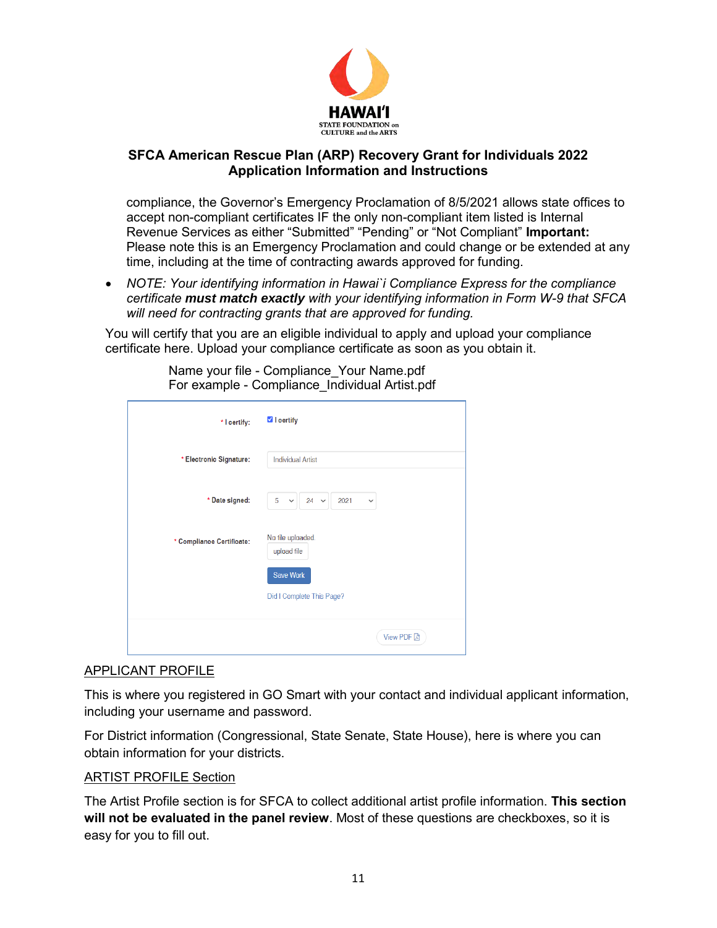

compliance, the Governor's Emergency Proclamation of 8/5/2021 allows state offices to accept non-compliant certificates IF the only non-compliant item listed is Internal Revenue Services as either "Submitted" "Pending" or "Not Compliant" **Important:** Please note this is an Emergency Proclamation and could change or be extended at any time, including at the time of contracting awards approved for funding.

 *NOTE: Your identifying information in Hawai`i Compliance Express for the compliance certificate must match exactly with your identifying information in Form W-9 that SFCA will need for contracting grants that are approved for funding.* 

You will certify that you are an eligible individual to apply and upload your compliance certificate here. Upload your compliance certificate as soon as you obtain it.

| * I certify:              | <b>V</b> I certify                                              |
|---------------------------|-----------------------------------------------------------------|
| * Electronic Signature:   | <b>Individual Artist</b>                                        |
| * Date signed:            | 24<br>2021<br>5<br>$\checkmark$<br>$\checkmark$<br>$\checkmark$ |
| * Compliance Certificate: | No file uploaded.<br>upload file                                |
|                           | <b>Save Work</b>                                                |
|                           | Did I Complete This Page?                                       |
|                           | <b>View PDF</b> 因                                               |

Name your file - Compliance\_Your Name.pdf For example - Compliance\_Individual Artist.pdf

## APPLICANT PROFILE

This is where you registered in GO Smart with your contact and individual applicant information, including your username and password.

For District information (Congressional, State Senate, State House), here is where you can obtain information for your districts.

## ARTIST PROFILE Section

The Artist Profile section is for SFCA to collect additional artist profile information. **This section will not be evaluated in the panel review**. Most of these questions are checkboxes, so it is easy for you to fill out.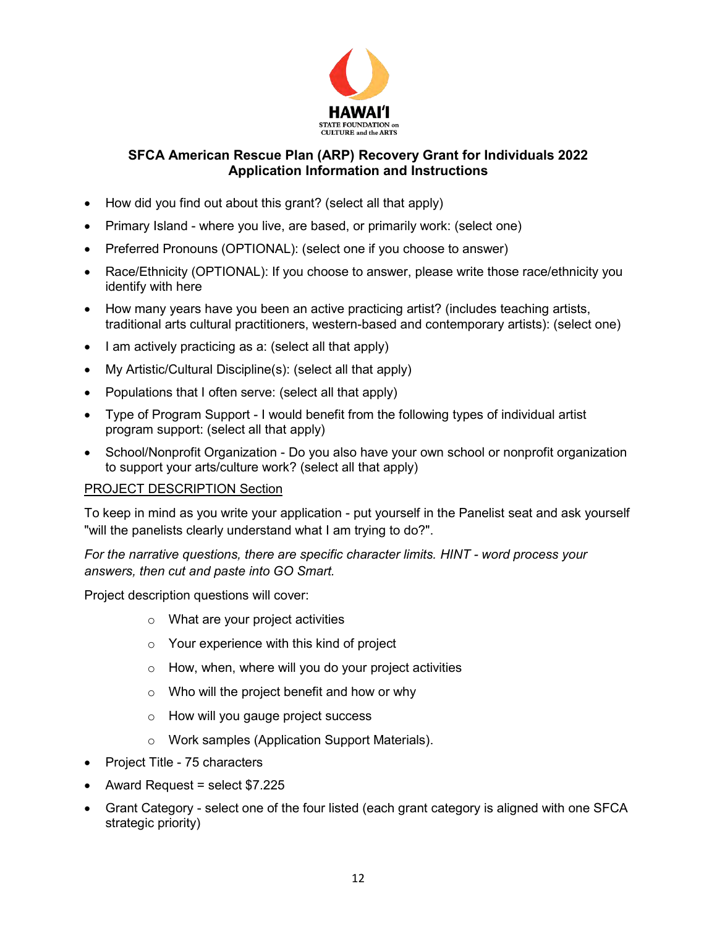

- How did you find out about this grant? (select all that apply)
- Primary Island where you live, are based, or primarily work: (select one)
- Preferred Pronouns (OPTIONAL): (select one if you choose to answer)
- Race/Ethnicity (OPTIONAL): If you choose to answer, please write those race/ethnicity you identify with here
- How many years have you been an active practicing artist? (includes teaching artists, traditional arts cultural practitioners, western-based and contemporary artists): (select one)
- I am actively practicing as a: (select all that apply)
- My Artistic/Cultural Discipline(s): (select all that apply)
- Populations that I often serve: (select all that apply)
- Type of Program Support I would benefit from the following types of individual artist program support: (select all that apply)
- School/Nonprofit Organization Do you also have your own school or nonprofit organization to support your arts/culture work? (select all that apply)

#### PROJECT DESCRIPTION Section

To keep in mind as you write your application - put yourself in the Panelist seat and ask yourself "will the panelists clearly understand what I am trying to do?".

*For the narrative questions, there are specific character limits. HINT - word process your answers, then cut and paste into GO Smart.* 

Project description questions will cover:

- o What are your project activities
- o Your experience with this kind of project
- $\circ$  How, when, where will you do your project activities
- o Who will the project benefit and how or why
- o How will you gauge project success
- o Work samples (Application Support Materials).
- Project Title 75 characters
- Award Request = select \$7.225
- Grant Category select one of the four listed (each grant category is aligned with one SFCA strategic priority)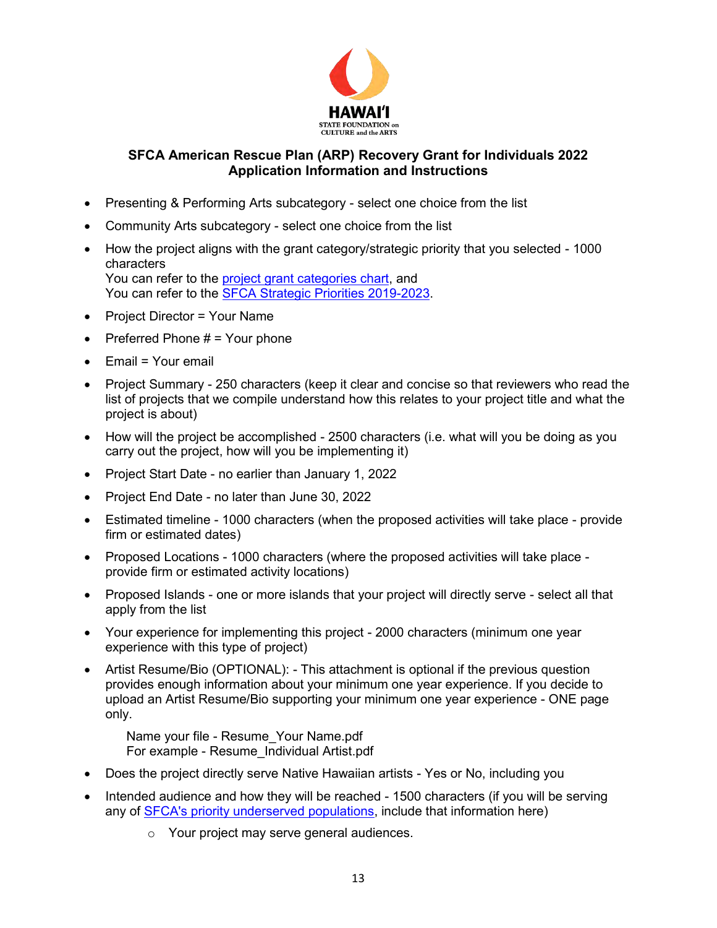

- Presenting & Performing Arts subcategory select one choice from the list
- Community Arts subcategory select one choice from the list
- How the project aligns with the grant category/strategic priority that you selected 1000 characters You can refer to the [project grant categories chart,](https://sfca.hawaii.gov/wp-content/uploads/2021/01/Biennium-Grants-Categories-2022-2023-rev01-20-2021.pdf) and You can refer to the [SFCA Strategic Priorities 2019-2023.](https://sfca.hawaii.gov/wp-content/uploads/2018/06/SFCA-Strategic-Plan-2019-2023.pdf)
- Project Director = Your Name
- Preferred Phone  $# =$  Your phone
- Email = Your email
- Project Summary 250 characters (keep it clear and concise so that reviewers who read the list of projects that we compile understand how this relates to your project title and what the project is about)
- How will the project be accomplished 2500 characters (i.e. what will you be doing as you carry out the project, how will you be implementing it)
- Project Start Date no earlier than January 1, 2022
- Project End Date no later than June 30, 2022
- Estimated timeline 1000 characters (when the proposed activities will take place provide firm or estimated dates)
- Proposed Locations 1000 characters (where the proposed activities will take place provide firm or estimated activity locations)
- Proposed Islands one or more islands that your project will directly serve select all that apply from the list
- Your experience for implementing this project 2000 characters (minimum one year experience with this type of project)
- Artist Resume/Bio (OPTIONAL): This attachment is optional if the previous question provides enough information about your minimum one year experience. If you decide to upload an Artist Resume/Bio supporting your minimum one year experience - ONE page only.

Name your file - Resume\_Your Name.pdf For example - Resume\_Individual Artist.pdf

- Does the project directly serve Native Hawaiian artists Yes or No, including you
- Intended audience and how they will be reached 1500 characters (if you will be serving any of [SFCA's priority underserved populations,](#page-5-0) include that information here)
	- o Your project may serve general audiences.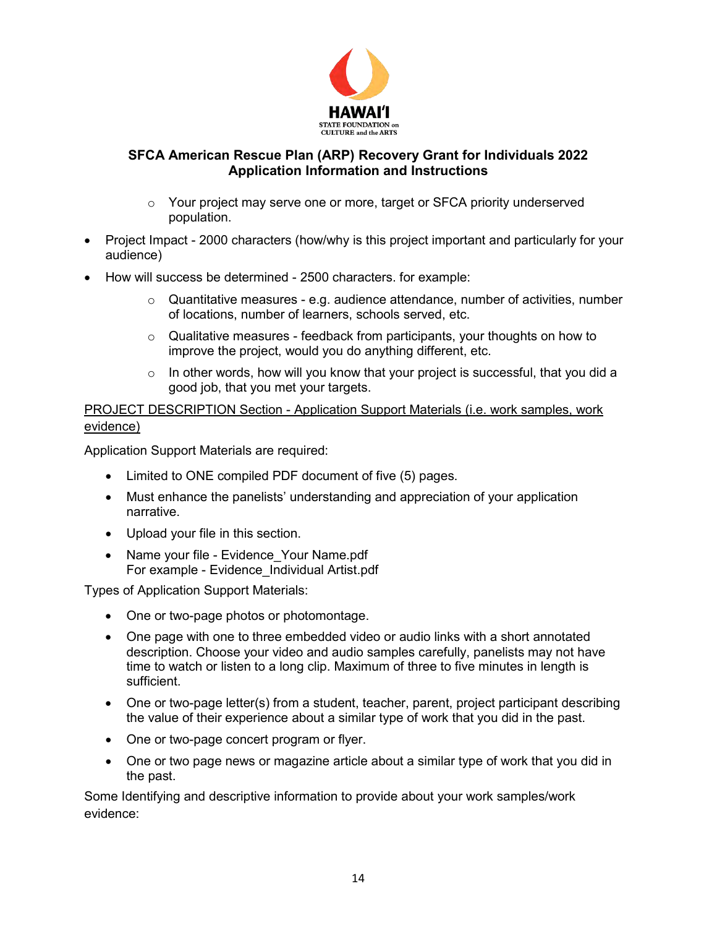

- o Your project may serve one or more, target or SFCA priority underserved population.
- Project Impact 2000 characters (how/why is this project important and particularly for your audience)
- How will success be determined 2500 characters. for example:
	- $\circ$  Quantitative measures e.g. audience attendance, number of activities, number of locations, number of learners, schools served, etc.
	- $\circ$  Qualitative measures feedback from participants, your thoughts on how to improve the project, would you do anything different, etc.
	- o In other words, how will you know that your project is successful, that you did a good job, that you met your targets.

PROJECT DESCRIPTION Section - Application Support Materials (i.e. work samples, work evidence)

Application Support Materials are required:

- Limited to ONE compiled PDF document of five (5) pages.
- Must enhance the panelists' understanding and appreciation of your application narrative.
- Upload your file in this section.
- Name your file Evidence Your Name.pdf For example - Evidence\_Individual Artist.pdf

Types of Application Support Materials:

- One or two-page photos or photomontage.
- One page with one to three embedded video or audio links with a short annotated description. Choose your video and audio samples carefully, panelists may not have time to watch or listen to a long clip. Maximum of three to five minutes in length is sufficient.
- One or two-page letter(s) from a student, teacher, parent, project participant describing the value of their experience about a similar type of work that you did in the past.
- One or two-page concert program or flyer.
- One or two page news or magazine article about a similar type of work that you did in the past.

Some Identifying and descriptive information to provide about your work samples/work evidence: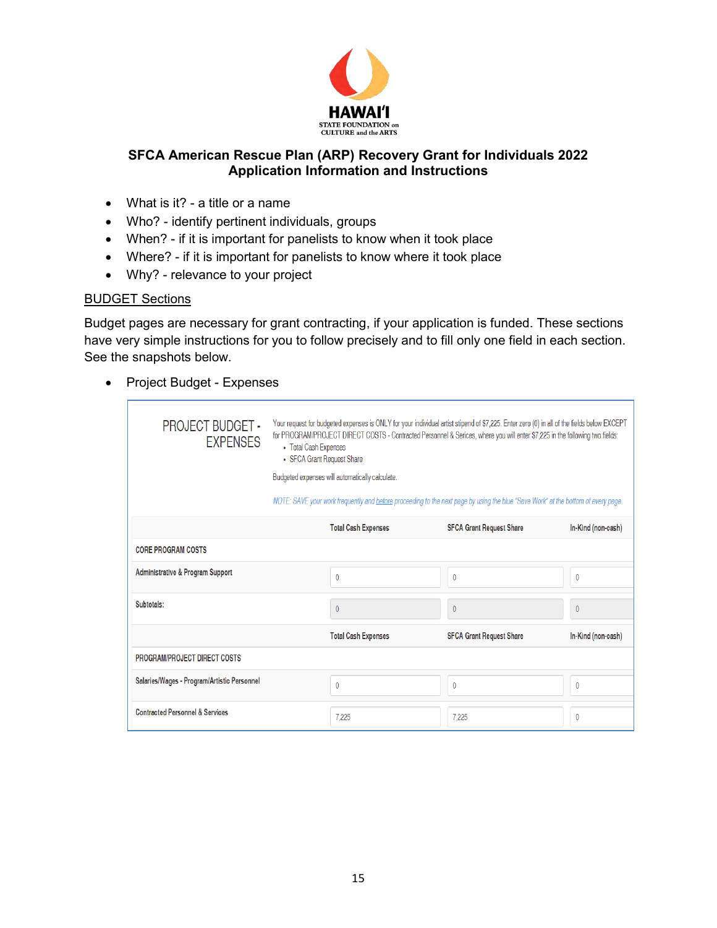

- What is it? a title or a name
- Who? identify pertinent individuals, groups
- When? if it is important for panelists to know when it took place
- Where? if it is important for panelists to know where it took place
- Why? relevance to your project

## BUDGET Sections

Budget pages are necessary for grant contracting, if your application is funded. These sections have very simple instructions for you to follow precisely and to fill only one field in each section. See the snapshots below.

• Project Budget - Expenses

| <b>PROJECT BUDGET -</b><br><b>EXPENSES</b>  | Your request for budgeted expenses is ONLY for your individual artist stipend of \$7,225. Enter zero (0) in all of the fields below EXCEPT<br>for PROGRAM/PROJECT DIRECT COSTS - Contracted Personnel & Serices, where you will enter \$7,225 in the following two fields:<br>• Total Cash Expenses<br>• SFCA Grant Request Share<br>Budgeted expenses will automatically calculate.<br>NOTE: SAVE your work frequently and before proceeding to the next page by using the blue "Save Work" at the bottom of every page. |                            |                                 |                    |
|---------------------------------------------|---------------------------------------------------------------------------------------------------------------------------------------------------------------------------------------------------------------------------------------------------------------------------------------------------------------------------------------------------------------------------------------------------------------------------------------------------------------------------------------------------------------------------|----------------------------|---------------------------------|--------------------|
|                                             |                                                                                                                                                                                                                                                                                                                                                                                                                                                                                                                           | <b>Total Cash Expenses</b> | <b>SFCA Grant Request Share</b> | In-Kind (non-cash) |
| <b>CORE PROGRAM COSTS</b>                   |                                                                                                                                                                                                                                                                                                                                                                                                                                                                                                                           |                            |                                 |                    |
| <b>Administrative &amp; Program Support</b> |                                                                                                                                                                                                                                                                                                                                                                                                                                                                                                                           | $\bf{0}$                   | $\bf{0}$                        | $\mathbf{0}$       |
| Subtotals:                                  |                                                                                                                                                                                                                                                                                                                                                                                                                                                                                                                           | $\theta$                   | $\theta$                        | $\theta$           |
|                                             |                                                                                                                                                                                                                                                                                                                                                                                                                                                                                                                           | <b>Total Cash Expenses</b> | <b>SFCA Grant Request Share</b> | In-Kind (non-cash) |
| PROGRAM/PROJECT DIRECT COSTS                |                                                                                                                                                                                                                                                                                                                                                                                                                                                                                                                           |                            |                                 |                    |
| Salaries/Wages - Program/Artistic Personnel |                                                                                                                                                                                                                                                                                                                                                                                                                                                                                                                           | $\theta$                   | $\mathbf{0}$                    | $\bf{0}$           |
| <b>Contracted Personnel &amp; Services</b>  |                                                                                                                                                                                                                                                                                                                                                                                                                                                                                                                           | 7.225                      | 7.225                           | 0                  |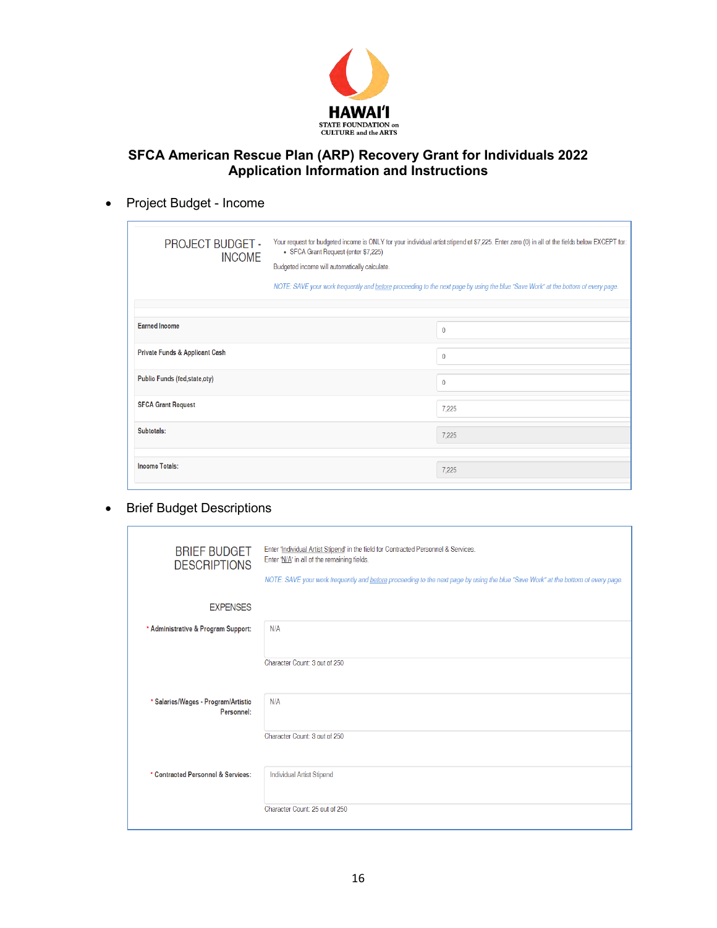

# • Project Budget - Income

| <b>PROJECT BUDGET -</b><br><b>INCOME</b> | Your request for budgeted income is ONLY for your individual artist stipend of \$7,225. Enter zero (0) in all of the fields below EXCEPT for:<br>• SFCA Grant Request (enter \$7,225)<br>Budgeted income will automatically calculate.<br>NOTE: SAVE your work frequently and before proceeding to the next page by using the blue "Save Work" at the bottom of every page. |              |
|------------------------------------------|-----------------------------------------------------------------------------------------------------------------------------------------------------------------------------------------------------------------------------------------------------------------------------------------------------------------------------------------------------------------------------|--------------|
|                                          |                                                                                                                                                                                                                                                                                                                                                                             |              |
| <b>Earned Income</b>                     |                                                                                                                                                                                                                                                                                                                                                                             | $\bf{0}$     |
| Private Funds & Applicant Cash           |                                                                                                                                                                                                                                                                                                                                                                             | $\mathbf{0}$ |
| Public Funds (fed, state, cty)           |                                                                                                                                                                                                                                                                                                                                                                             | $\mathbf{0}$ |
| <b>SFCA Grant Request</b>                |                                                                                                                                                                                                                                                                                                                                                                             | 7,225        |
| Subtotals:                               |                                                                                                                                                                                                                                                                                                                                                                             | 7,225        |
|                                          |                                                                                                                                                                                                                                                                                                                                                                             |              |
| <b>Income Totals:</b>                    |                                                                                                                                                                                                                                                                                                                                                                             | 7,225        |

## • Brief Budget Descriptions

r

| <b>BRIEF BUDGET</b><br><b>DESCRIPTIONS</b>        | Enter 'Individual Artist Stipend' in the field for Contracted Personnel & Services.<br>Enter 'N/A' in all of the remaining fields.<br>NOTE: SAVE your work frequently and before proceeding to the next page by using the blue "Save Work" at the bottom of every page. |
|---------------------------------------------------|-------------------------------------------------------------------------------------------------------------------------------------------------------------------------------------------------------------------------------------------------------------------------|
| <b>EXPENSES</b>                                   |                                                                                                                                                                                                                                                                         |
| * Administrative & Program Support:               | N/A                                                                                                                                                                                                                                                                     |
|                                                   | Character Count: 3 out of 250                                                                                                                                                                                                                                           |
| * Salaries/Wages - Program/Artistic<br>Personnel: | N/A                                                                                                                                                                                                                                                                     |
|                                                   | Character Count: 3 out of 250                                                                                                                                                                                                                                           |
| * Contracted Personnel & Services:                | <b>Individual Artist Stipend</b>                                                                                                                                                                                                                                        |
|                                                   | Character Count: 25 out of 250                                                                                                                                                                                                                                          |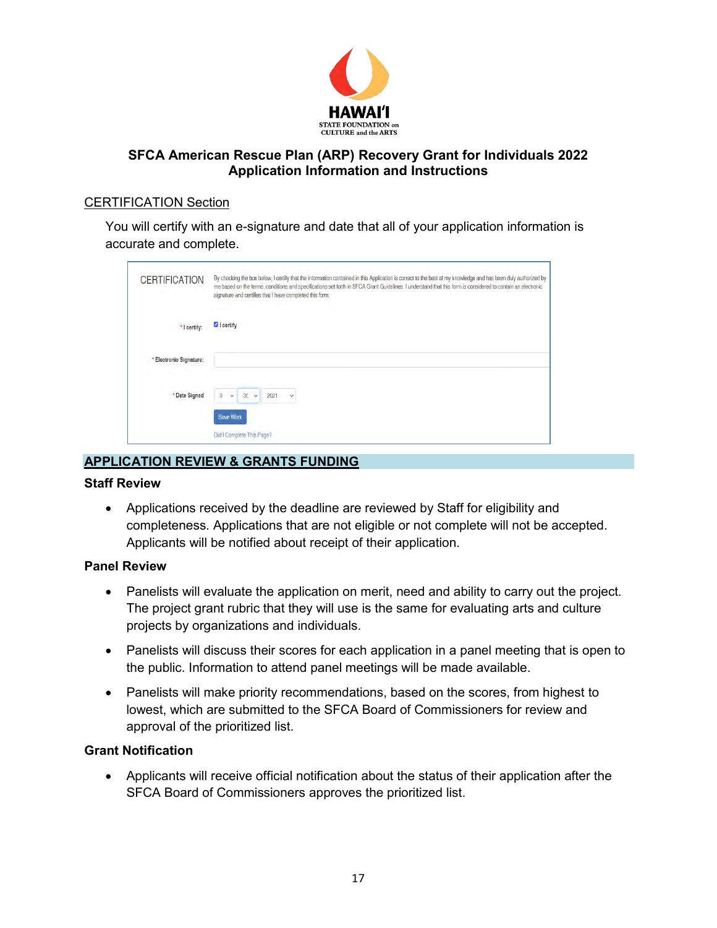

### CERTIFICATION Section

You will certify with an e-signature and date that all of your application information is accurate and complete.

| <b>CERTIFICATION</b>    | By checking the box below, I certify that the information contained in this Application is correct to the best of my knowledge and has been duly authorized by<br>me based on the terms, conditions and specifications set forth in SFCA Grant Guidelines. I understand that this form is considered to contain an electronic<br>signature and certifies that I have completed this form. |  |
|-------------------------|-------------------------------------------------------------------------------------------------------------------------------------------------------------------------------------------------------------------------------------------------------------------------------------------------------------------------------------------------------------------------------------------|--|
| *   certify:            | <b>V</b> I certify                                                                                                                                                                                                                                                                                                                                                                        |  |
| * Electronic Signature: |                                                                                                                                                                                                                                                                                                                                                                                           |  |
| * Date Signed           | 9<br>30<br>2021<br>$\checkmark$<br>$\checkmark$<br>Save Work                                                                                                                                                                                                                                                                                                                              |  |
|                         | Did I Complete This Page?                                                                                                                                                                                                                                                                                                                                                                 |  |

# <span id="page-16-0"></span>**APPLICATION REVIEW & GRANTS FUNDING**

#### **Staff Review**

 Applications received by the deadline are reviewed by Staff for eligibility and completeness. Applications that are not eligible or not complete will not be accepted. Applicants will be notified about receipt of their application.

#### **Panel Review**

- Panelists will evaluate the application on merit, need and ability to carry out the project. The project grant rubric that they will use is the same for evaluating arts and culture projects by organizations and individuals.
- Panelists will discuss their scores for each application in a panel meeting that is open to the public. Information to attend panel meetings will be made available.
- Panelists will make priority recommendations, based on the scores, from highest to lowest, which are submitted to the SFCA Board of Commissioners for review and approval of the prioritized list.

## **Grant Notification**

 Applicants will receive official notification about the status of their application after the SFCA Board of Commissioners approves the prioritized list.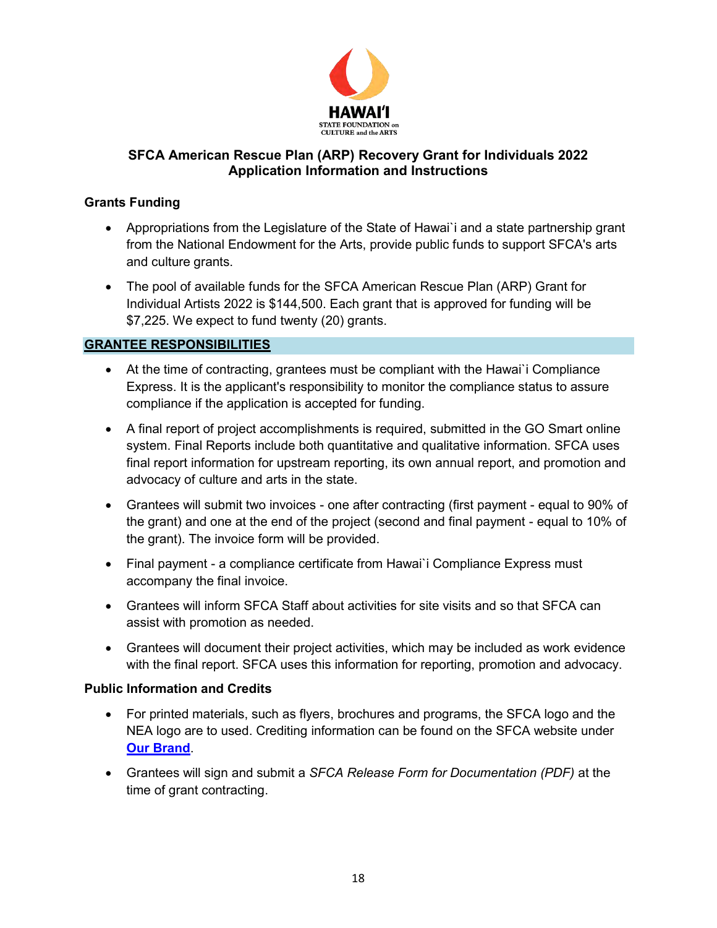

## **Grants Funding**

- Appropriations from the Legislature of the State of Hawai`i and a state partnership grant from the National Endowment for the Arts, provide public funds to support SFCA's arts and culture grants.
- The pool of available funds for the SFCA American Rescue Plan (ARP) Grant for Individual Artists 2022 is \$144,500. Each grant that is approved for funding will be \$7,225. We expect to fund twenty (20) grants.

# <span id="page-17-0"></span>**GRANTEE RESPONSIBILITIES**

- At the time of contracting, grantees must be compliant with the Hawai`i Compliance Express. It is the applicant's responsibility to monitor the compliance status to assure compliance if the application is accepted for funding.
- A final report of project accomplishments is required, submitted in the GO Smart online system. Final Reports include both quantitative and qualitative information. SFCA uses final report information for upstream reporting, its own annual report, and promotion and advocacy of culture and arts in the state.
- Grantees will submit two invoices one after contracting (first payment equal to 90% of the grant) and one at the end of the project (second and final payment - equal to 10% of the grant). The invoice form will be provided.
- Final payment a compliance certificate from Hawai`i Compliance Express must accompany the final invoice.
- Grantees will inform SFCA Staff about activities for site visits and so that SFCA can assist with promotion as needed.
- Grantees will document their project activities, which may be included as work evidence with the final report. SFCA uses this information for reporting, promotion and advocacy.

# **Public Information and Credits**

- For printed materials, such as flyers, brochures and programs, the SFCA logo and the NEA logo are to used. Crediting information can be found on the SFCA website under **[Our Brand](https://sfca.hawaii.gov/about/our-brand/)**.
- Grantees will sign and submit a *SFCA Release Form for Documentation (PDF)* at the time of grant contracting.